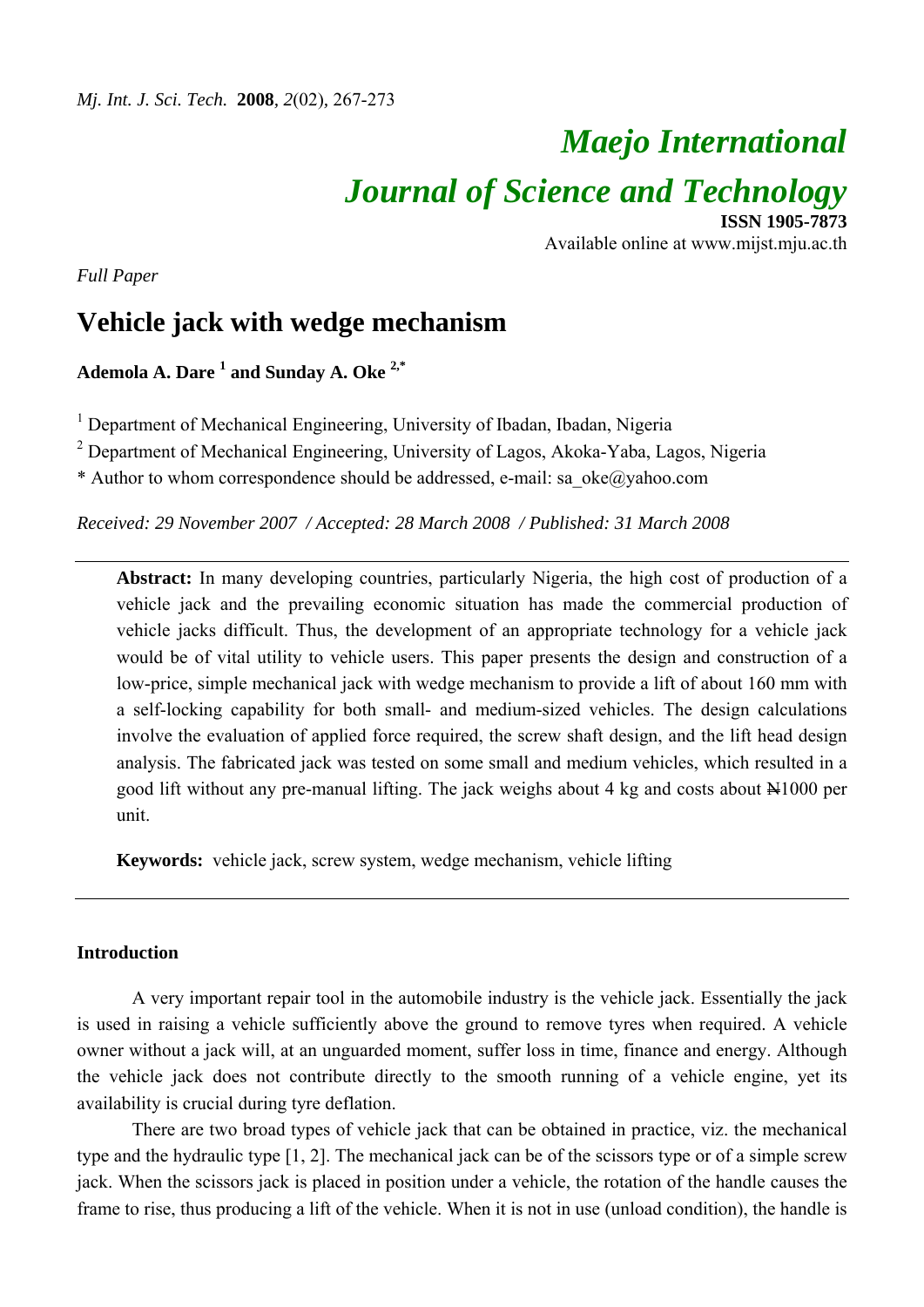# *Maejo International Journal of Science and Technology* **ISSN 1905-7873**

Available online at www.mijst.mju.ac.th

*Full Paper* 

# **Vehicle jack with wedge mechanism**

**Ademola A. Dare 1 and Sunday A. Oke 2,\*** 

<sup>1</sup> Department of Mechanical Engineering, University of Ibadan, Ibadan, Nigeria

<sup>2</sup> Department of Mechanical Engineering, University of Lagos, Akoka-Yaba, Lagos, Nigeria

\* Author to whom correspondence should be addressed, e-mail: sa\_oke@yahoo.com

*Received: 29 November 2007 / Accepted: 28 March 2008 / Published: 31 March 2008* 

**Abstract:** In many developing countries, particularly Nigeria, the high cost of production of a vehicle jack and the prevailing economic situation has made the commercial production of vehicle jacks difficult. Thus, the development of an appropriate technology for a vehicle jack would be of vital utility to vehicle users. This paper presents the design and construction of a low-price, simple mechanical jack with wedge mechanism to provide a lift of about 160 mm with a self-locking capability for both small- and medium-sized vehicles. The design calculations involve the evaluation of applied force required, the screw shaft design, and the lift head design analysis. The fabricated jack was tested on some small and medium vehicles, which resulted in a good lift without any pre-manual lifting. The jack weighs about  $4 \text{ kg}$  and costs about  $\text{N}1000$  per unit.

**Keywords:** vehicle jack, screw system, wedge mechanism, vehicle lifting

# **Introduction**

A very important repair tool in the automobile industry is the vehicle jack. Essentially the jack is used in raising a vehicle sufficiently above the ground to remove tyres when required. A vehicle owner without a jack will, at an unguarded moment, suffer loss in time, finance and energy. Although the vehicle jack does not contribute directly to the smooth running of a vehicle engine, yet its availability is crucial during tyre deflation.

There are two broad types of vehicle jack that can be obtained in practice, viz. the mechanical type and the hydraulic type [1, 2]. The mechanical jack can be of the scissors type or of a simple screw jack. When the scissors jack is placed in position under a vehicle, the rotation of the handle causes the frame to rise, thus producing a lift of the vehicle. When it is not in use (unload condition), the handle is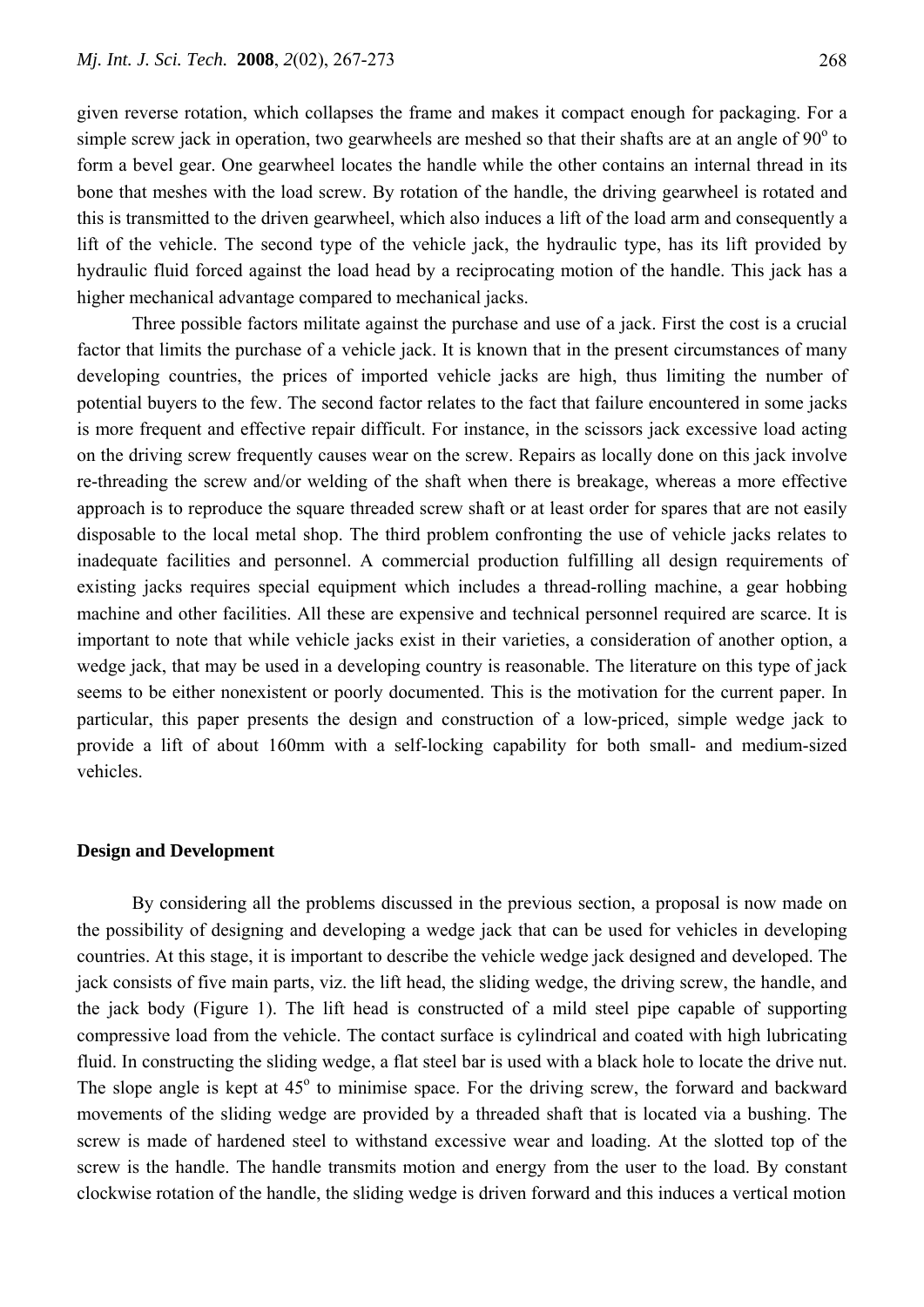given reverse rotation, which collapses the frame and makes it compact enough for packaging. For a simple screw jack in operation, two gearwheels are meshed so that their shafts are at an angle of  $90^{\circ}$  to form a bevel gear. One gearwheel locates the handle while the other contains an internal thread in its bone that meshes with the load screw. By rotation of the handle, the driving gearwheel is rotated and this is transmitted to the driven gearwheel, which also induces a lift of the load arm and consequently a lift of the vehicle. The second type of the vehicle jack, the hydraulic type, has its lift provided by hydraulic fluid forced against the load head by a reciprocating motion of the handle. This jack has a higher mechanical advantage compared to mechanical jacks.

Three possible factors militate against the purchase and use of a jack. First the cost is a crucial factor that limits the purchase of a vehicle jack. It is known that in the present circumstances of many developing countries, the prices of imported vehicle jacks are high, thus limiting the number of potential buyers to the few. The second factor relates to the fact that failure encountered in some jacks is more frequent and effective repair difficult. For instance, in the scissors jack excessive load acting on the driving screw frequently causes wear on the screw. Repairs as locally done on this jack involve re-threading the screw and/or welding of the shaft when there is breakage, whereas a more effective approach is to reproduce the square threaded screw shaft or at least order for spares that are not easily disposable to the local metal shop. The third problem confronting the use of vehicle jacks relates to inadequate facilities and personnel. A commercial production fulfilling all design requirements of existing jacks requires special equipment which includes a thread-rolling machine, a gear hobbing machine and other facilities. All these are expensive and technical personnel required are scarce. It is important to note that while vehicle jacks exist in their varieties, a consideration of another option, a wedge jack, that may be used in a developing country is reasonable. The literature on this type of jack seems to be either nonexistent or poorly documented. This is the motivation for the current paper. In particular, this paper presents the design and construction of a low-priced, simple wedge jack to provide a lift of about 160mm with a self-locking capability for both small- and medium-sized vehicles.

### **Design and Development**

By considering all the problems discussed in the previous section, a proposal is now made on the possibility of designing and developing a wedge jack that can be used for vehicles in developing countries. At this stage, it is important to describe the vehicle wedge jack designed and developed. The jack consists of five main parts, viz. the lift head, the sliding wedge, the driving screw, the handle, and the jack body (Figure 1). The lift head is constructed of a mild steel pipe capable of supporting compressive load from the vehicle. The contact surface is cylindrical and coated with high lubricating fluid. In constructing the sliding wedge, a flat steel bar is used with a black hole to locate the drive nut. The slope angle is kept at 45° to minimise space. For the driving screw, the forward and backward movements of the sliding wedge are provided by a threaded shaft that is located via a bushing. The screw is made of hardened steel to withstand excessive wear and loading. At the slotted top of the screw is the handle. The handle transmits motion and energy from the user to the load. By constant clockwise rotation of the handle, the sliding wedge is driven forward and this induces a vertical motion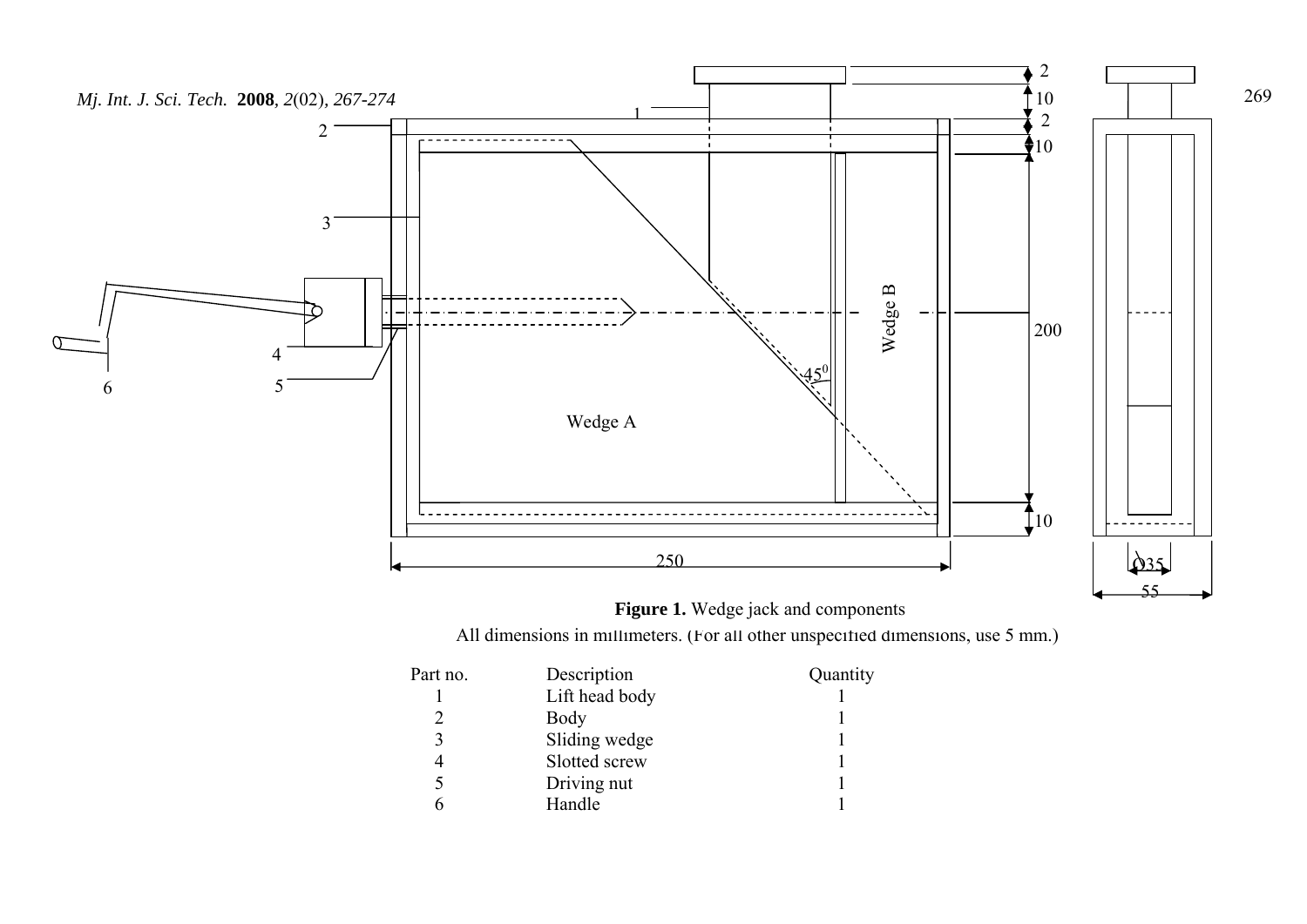



All dimensions in millimeters. (For all other unspecified dimensions, use 5 mm.)

| Part no. | Description    | Quantity |
|----------|----------------|----------|
|          | Lift head body |          |
|          | Body           |          |
| 3        | Sliding wedge  |          |
| 4        | Slotted screw  |          |
| 5        | Driving nut    |          |
|          | Handle         |          |

269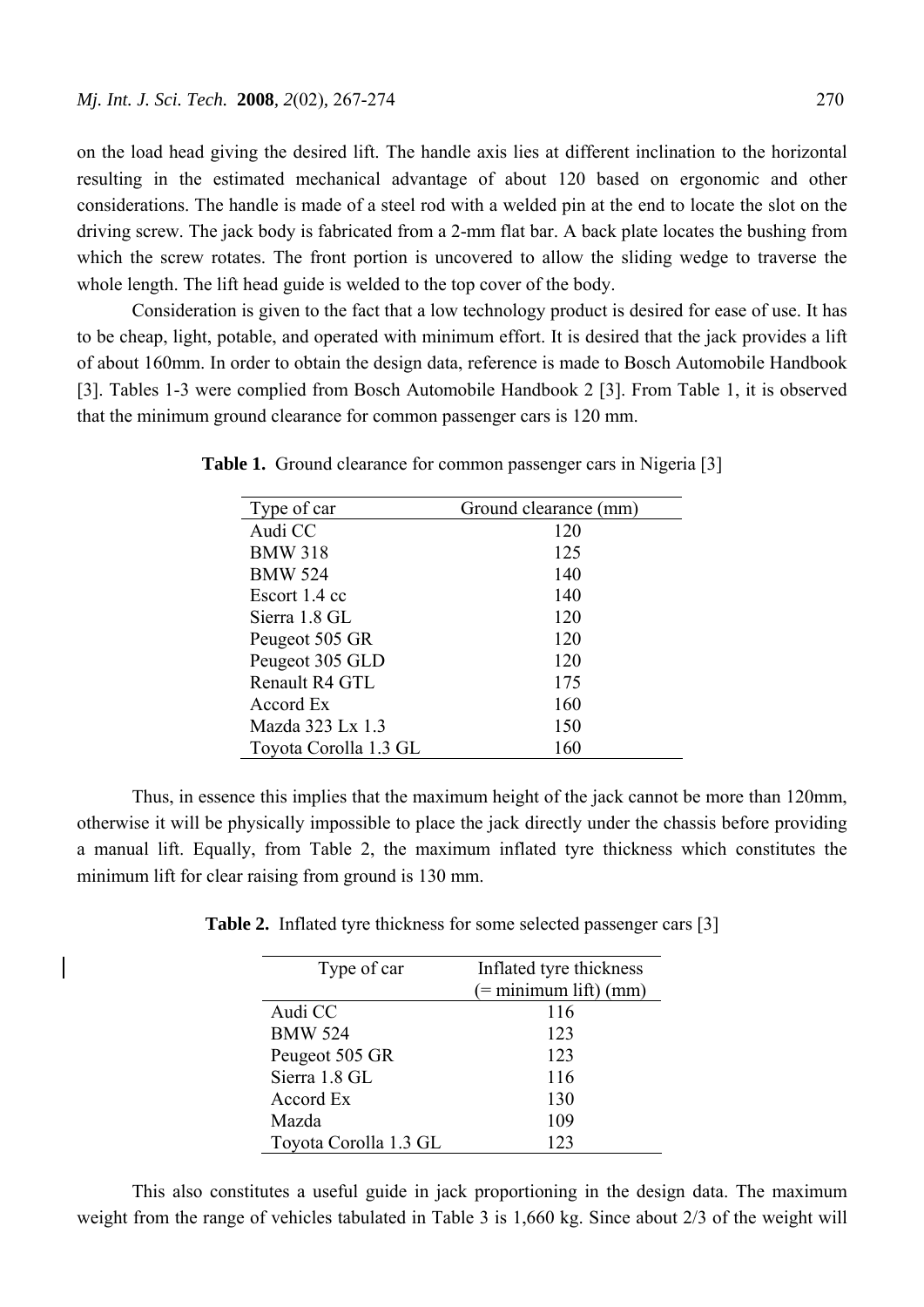on the load head giving the desired lift. The handle axis lies at different inclination to the horizontal resulting in the estimated mechanical advantage of about 120 based on ergonomic and other considerations. The handle is made of a steel rod with a welded pin at the end to locate the slot on the driving screw. The jack body is fabricated from a 2-mm flat bar. A back plate locates the bushing from which the screw rotates. The front portion is uncovered to allow the sliding wedge to traverse the whole length. The lift head guide is welded to the top cover of the body.

Consideration is given to the fact that a low technology product is desired for ease of use. It has to be cheap, light, potable, and operated with minimum effort. It is desired that the jack provides a lift of about 160mm. In order to obtain the design data, reference is made to Bosch Automobile Handbook [3]. Tables 1-3 were complied from Bosch Automobile Handbook 2 [3]. From Table 1, it is observed that the minimum ground clearance for common passenger cars is 120 mm.

| Type of car           | Ground clearance (mm) |
|-----------------------|-----------------------|
| Audi CC               | 120                   |
| <b>BMW 318</b>        | 125                   |
| <b>BMW 524</b>        | 140                   |
| Escort 1.4 cc         | 140                   |
| Sierra 1.8 GL         | 120                   |
| Peugeot 505 GR        | 120                   |
| Peugeot 305 GLD       | 120                   |
| Renault R4 GTL        | 175                   |
| Accord Ex             | 160                   |
| Mazda 323 Lx 1.3      | 150                   |
| Toyota Corolla 1.3 GL | 160                   |

**Table 1.** Ground clearance for common passenger cars in Nigeria [3]

Thus, in essence this implies that the maximum height of the jack cannot be more than 120mm, otherwise it will be physically impossible to place the jack directly under the chassis before providing a manual lift. Equally, from Table 2, the maximum inflated tyre thickness which constitutes the minimum lift for clear raising from ground is 130 mm.

**Table 2.** Inflated tyre thickness for some selected passenger cars [3]

| Type of car           | Inflated tyre thickness |  |  |
|-----------------------|-------------------------|--|--|
|                       | $(=$ minimum lift) (mm) |  |  |
| Audi CC               | 116                     |  |  |
| <b>BMW 524</b>        | 123                     |  |  |
| Peugeot 505 GR        | 123                     |  |  |
| Sierra 1.8 GL         | 116                     |  |  |
| Accord Ex             | 130                     |  |  |
| Mazda                 | 109                     |  |  |
| Toyota Corolla 1.3 GL | 123                     |  |  |

This also constitutes a useful guide in jack proportioning in the design data. The maximum weight from the range of vehicles tabulated in Table 3 is 1,660 kg. Since about 2/3 of the weight will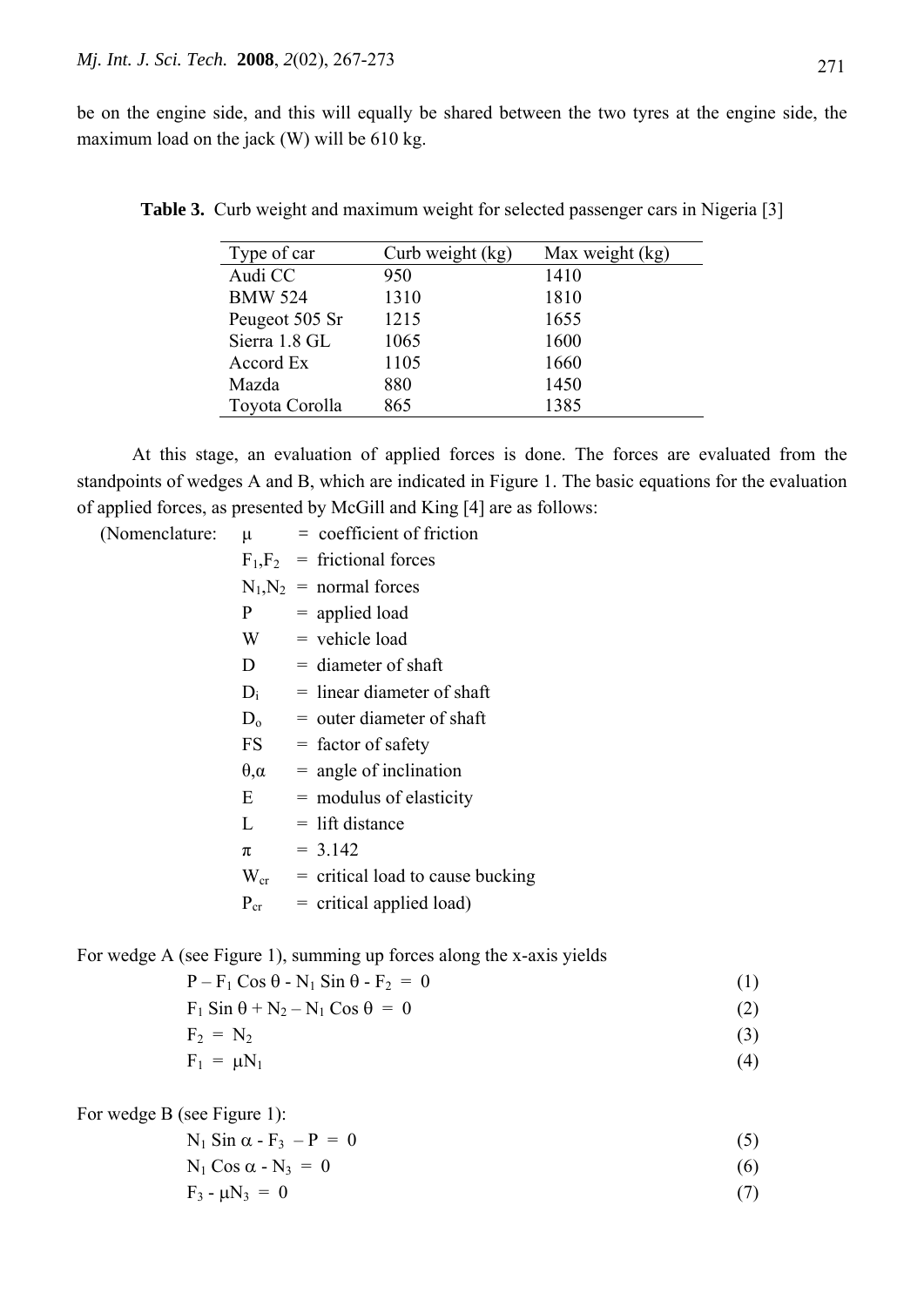be on the engine side, and this will equally be shared between the two tyres at the engine side, the maximum load on the jack (W) will be 610 kg.

| Type of car    | Curb weight (kg) | Max weight (kg) |
|----------------|------------------|-----------------|
| Audi CC        | 950              | 1410            |
| <b>BMW 524</b> | 1310             | 1810            |
| Peugeot 505 Sr | 1215             | 1655            |
| Sierra 1.8 GL  | 1065             | 1600            |
| Accord Ex      | 1105             | 1660            |
| Mazda          | 880              | 1450            |
| Toyota Corolla | 865              | 1385            |

|  |  | <b>Table 3.</b> Curb weight and maximum weight for selected passenger cars in Nigeria [3] |  |  |  |  |  |
|--|--|-------------------------------------------------------------------------------------------|--|--|--|--|--|
|  |  |                                                                                           |  |  |  |  |  |

At this stage, an evaluation of applied forces is done. The forces are evaluated from the standpoints of wedges A and B, which are indicated in Figure 1. The basic equations for the evaluation of applied forces, as presented by McGill and King [4] are as follows:

| (Nomenclature: | $\mu$ and $\mu$    | $=$ coefficient of friction               |
|----------------|--------------------|-------------------------------------------|
|                |                    | $F_1, F_2$ = frictional forces            |
|                |                    | $N_1, N_2$ = normal forces                |
|                | P                  | $=$ applied load                          |
|                | W                  | $=$ vehicle load                          |
|                | D                  | $=$ diameter of shaft                     |
|                | $D_i$              | $=$ linear diameter of shaft              |
|                | $D_0$              | $=$ outer diameter of shaft               |
|                | FS F               | $=$ factor of safety                      |
|                | $\theta_{,\alpha}$ | $=$ angle of inclination                  |
|                | $E_{\parallel}$    | $=$ modulus of elasticity                 |
|                | $\mathbf{L}$       | $=$ lift distance                         |
|                | π                  | $= 3.142$                                 |
|                |                    | $W_{cr}$ = critical load to cause bucking |
|                | $P_{cr}$           | $=$ critical applied load)                |
|                |                    |                                           |

For wedge A (see Figure 1), summing up forces along the x-axis yields

| $P - F_1 \cos \theta - N_1 \sin \theta - F_2 = 0$                                            |  |
|----------------------------------------------------------------------------------------------|--|
| $\Gamma$ $\Gamma_{\text{in}} \Lambda + \overline{M}$ $\Lambda_{\text{in}} \Lambda = \Lambda$ |  |

$$
F_1 \operatorname{Sin} \theta + N_2 - N_1 \operatorname{Cos} \theta = 0 \tag{2}
$$

$$
F_2 = N_2 \tag{3}
$$

$$
F_1 = \mu N_1 \tag{4}
$$

For wedge B (see Figure 1):

$$
N_1 \sin \alpha - F_3 - P = 0 \tag{5}
$$

 $N_1 \text{Cos } \alpha - N_3 = 0$  (6)

$$
F_3 - \mu N_3 = 0 \tag{7}
$$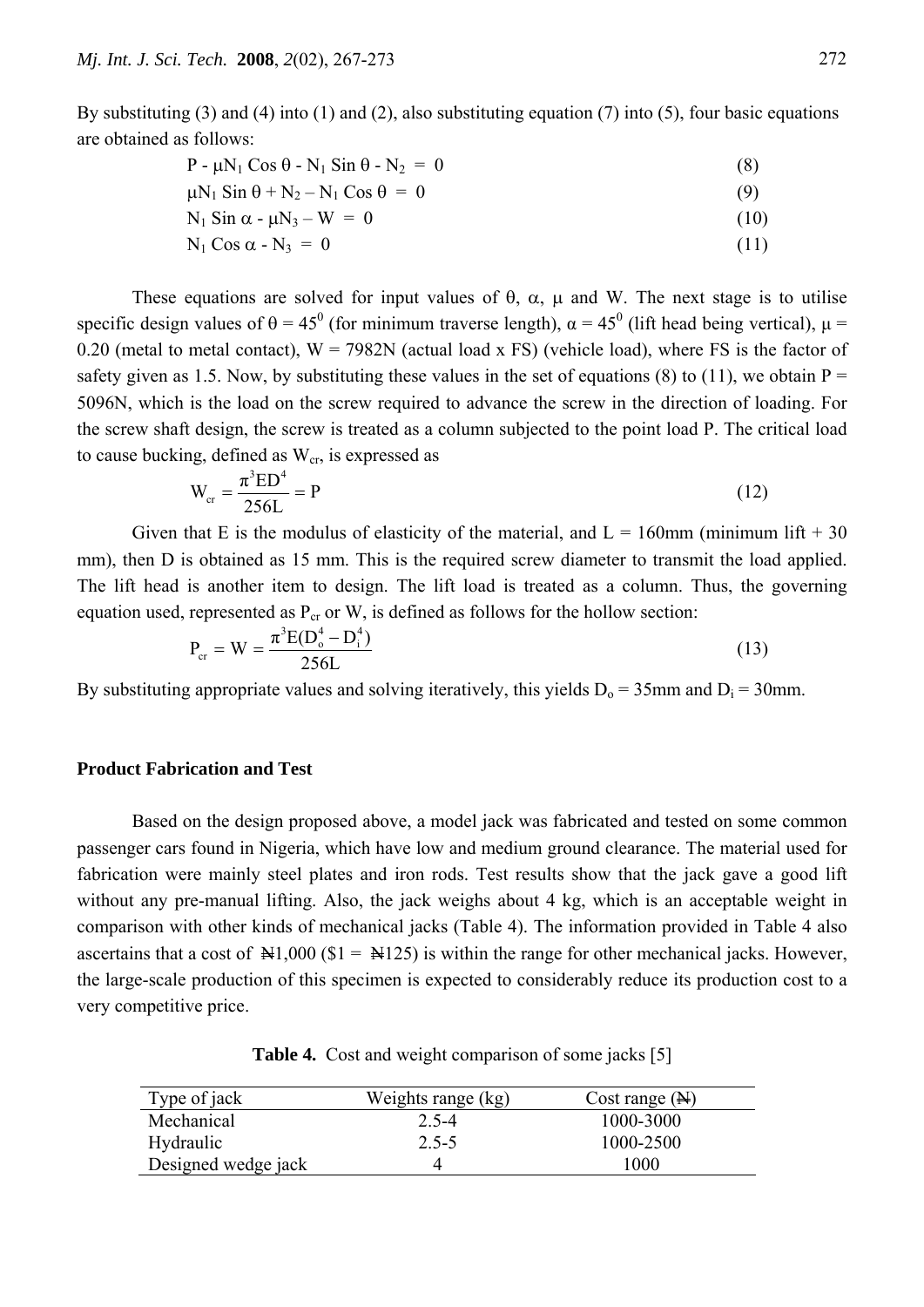By substituting (3) and (4) into (1) and (2), also substituting equation (7) into (5), four basic equations are obtained as follows:

| $P - \mu N_1 \cos \theta - N_1 \sin \theta - N_2 = 0$                                | (8)  |
|--------------------------------------------------------------------------------------|------|
| $\mu$ N <sub>1</sub> Sin $\theta$ + N <sub>2</sub> – N <sub>1</sub> Cos $\theta$ = 0 | (9)  |
| $N_1$ Sin $\alpha$ - $\mu N_3 - W = 0$                                               | (10) |

$$
N_1 \sin \alpha - \mu_1 s_3 - w = 0 \tag{10}
$$
  

$$
N_1 \cos \alpha - N_3 = 0 \tag{11}
$$

$$
N_1 \cos \alpha - N_3 = 0 \tag{11}
$$

These equations are solved for input values of  $\theta$ ,  $\alpha$ ,  $\mu$  and W. The next stage is to utilise specific design values of  $\theta = 45^{\circ}$  (for minimum traverse length),  $\alpha = 45^{\circ}$  (lift head being vertical),  $\mu =$ 0.20 (metal to metal contact),  $W = 7982N$  (actual load x FS) (vehicle load), where FS is the factor of safety given as 1.5. Now, by substituting these values in the set of equations (8) to (11), we obtain  $P =$ 5096N, which is the load on the screw required to advance the screw in the direction of loading. For the screw shaft design, the screw is treated as a column subjected to the point load P. The critical load to cause bucking, defined as  $W_{cr}$ , is expressed as

$$
W_{cr} = \frac{\pi^3 \text{ED}^4}{256 \text{L}} = P \tag{12}
$$

Given that E is the modulus of elasticity of the material, and  $L = 160$ mm (minimum lift + 30) mm), then D is obtained as 15 mm. This is the required screw diameter to transmit the load applied. The lift head is another item to design. The lift load is treated as a column. Thus, the governing equation used, represented as  $P_{cr}$  or W, is defined as follows for the hollow section:

$$
P_{cr} = W = \frac{\pi^3 E(D_o^4 - D_i^4)}{256L}
$$
 (13)

By substituting appropriate values and solving iteratively, this yields  $D_0 = 35$ mm and  $D_i = 30$ mm.

# **Product Fabrication and Test**

Based on the design proposed above, a model jack was fabricated and tested on some common passenger cars found in Nigeria, which have low and medium ground clearance. The material used for fabrication were mainly steel plates and iron rods. Test results show that the jack gave a good lift without any pre-manual lifting. Also, the jack weighs about 4 kg, which is an acceptable weight in comparison with other kinds of mechanical jacks (Table 4). The information provided in Table 4 also ascertains that a cost of  $\frac{1}{2}$ , 000 (\$1 =  $\frac{1}{2}$ ) is within the range for other mechanical jacks. However, the large-scale production of this specimen is expected to considerably reduce its production cost to a very competitive price.

**Table 4.** Cost and weight comparison of some jacks [5]

| Type of jack        | Weights range (kg) | Cost range $(\mathbb{H})$ |
|---------------------|--------------------|---------------------------|
| Mechanical          | 2.5-4              | 1000-3000                 |
| Hydraulic           | $2.5 - 5$          | 1000-2500                 |
| Designed wedge jack |                    | 1000                      |